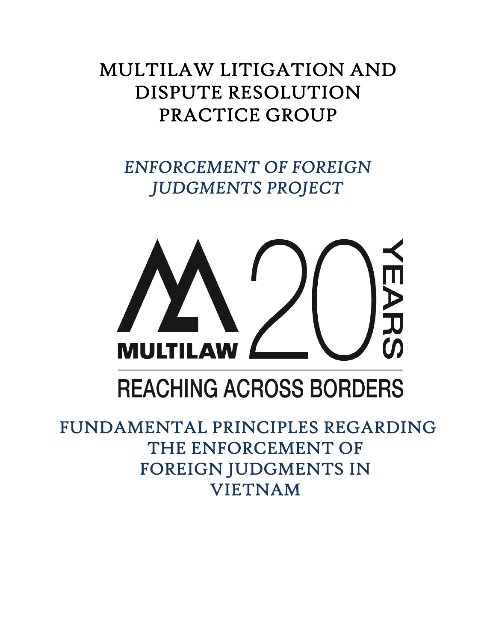# MULTILAW LITIGATION AND DISPUTE RESOLUTION PRACTICE GROUP

*ENFORCEMENT OF FOREIGN JUDGMENTS PROJECT* 



# **REACHING ACROSS BORDERS**

FUNDAMENTAL PRINCIPLES REGARDING THE ENFORCEMENT OF FOREIGN JUDGMENTS IN VIETNAM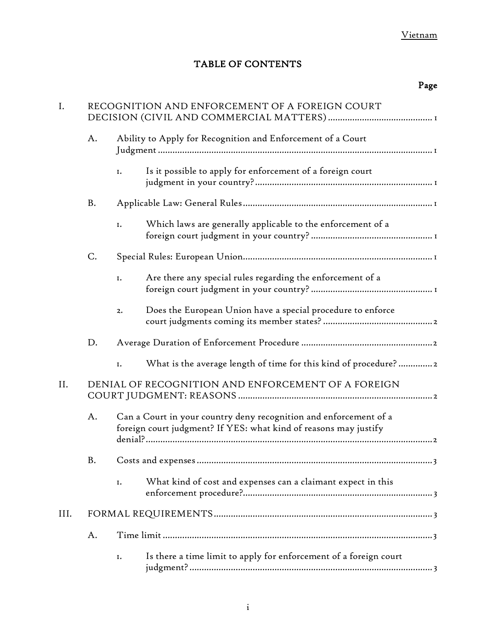# TABLE OF CONTENTS

# Page

| I.   | RECOGNITION AND ENFORCEMENT OF A FOREIGN COURT     |                                                                                                                                       |                                                                   |  |
|------|----------------------------------------------------|---------------------------------------------------------------------------------------------------------------------------------------|-------------------------------------------------------------------|--|
|      | A.                                                 | Ability to Apply for Recognition and Enforcement of a Court                                                                           |                                                                   |  |
|      |                                                    | I.                                                                                                                                    | Is it possible to apply for enforcement of a foreign court        |  |
|      | <b>B.</b>                                          |                                                                                                                                       |                                                                   |  |
|      |                                                    | I.                                                                                                                                    | Which laws are generally applicable to the enforcement of a       |  |
|      | C.                                                 |                                                                                                                                       |                                                                   |  |
|      |                                                    | I.                                                                                                                                    | Are there any special rules regarding the enforcement of a        |  |
|      |                                                    | 2.                                                                                                                                    | Does the European Union have a special procedure to enforce       |  |
|      | D.                                                 |                                                                                                                                       |                                                                   |  |
|      |                                                    | I.                                                                                                                                    | What is the average length of time for this kind of procedure?2   |  |
| II.  | DENIAL OF RECOGNITION AND ENFORCEMENT OF A FOREIGN |                                                                                                                                       |                                                                   |  |
|      | A.                                                 | Can a Court in your country deny recognition and enforcement of a<br>foreign court judgment? If YES: what kind of reasons may justify |                                                                   |  |
|      | B.                                                 |                                                                                                                                       |                                                                   |  |
|      |                                                    | I.                                                                                                                                    | What kind of cost and expenses can a claimant expect in this      |  |
| III. |                                                    |                                                                                                                                       |                                                                   |  |
|      | A.                                                 |                                                                                                                                       |                                                                   |  |
|      |                                                    | Ι.                                                                                                                                    | Is there a time limit to apply for enforcement of a foreign court |  |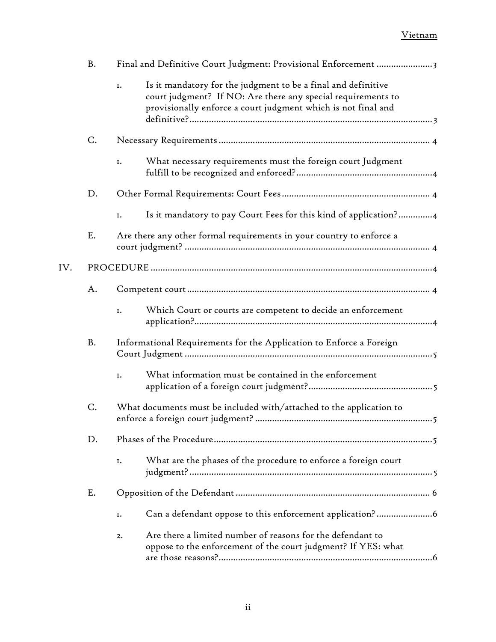|     | B. | Final and Definitive Court Judgment: Provisional Enforcement 3                                                                                                                                       |
|-----|----|------------------------------------------------------------------------------------------------------------------------------------------------------------------------------------------------------|
|     |    | Is it mandatory for the judgment to be a final and definitive<br>I.<br>court judgment? If NO: Are there any special requirements to<br>provisionally enforce a court judgment which is not final and |
|     | C. |                                                                                                                                                                                                      |
|     |    | What necessary requirements must the foreign court Judgment<br>I.                                                                                                                                    |
|     | D. |                                                                                                                                                                                                      |
|     |    | Is it mandatory to pay Court Fees for this kind of application?4<br>I.                                                                                                                               |
|     | E. | Are there any other formal requirements in your country to enforce a                                                                                                                                 |
| IV. |    |                                                                                                                                                                                                      |
|     | A. |                                                                                                                                                                                                      |
|     |    | Which Court or courts are competent to decide an enforcement<br>I.                                                                                                                                   |
|     | B. | Informational Requirements for the Application to Enforce a Foreign                                                                                                                                  |
|     |    | What information must be contained in the enforcement<br>I.                                                                                                                                          |
|     | C. | What documents must be included with/attached to the application to                                                                                                                                  |
|     | D. |                                                                                                                                                                                                      |
|     |    | What are the phases of the procedure to enforce a foreign court<br>I.                                                                                                                                |
|     | Ε. |                                                                                                                                                                                                      |
|     |    | Can a defendant oppose to this enforcement application?6<br>I.                                                                                                                                       |
|     |    | Are there a limited number of reasons for the defendant to<br>2.<br>oppose to the enforcement of the court judgment? If YES: what                                                                    |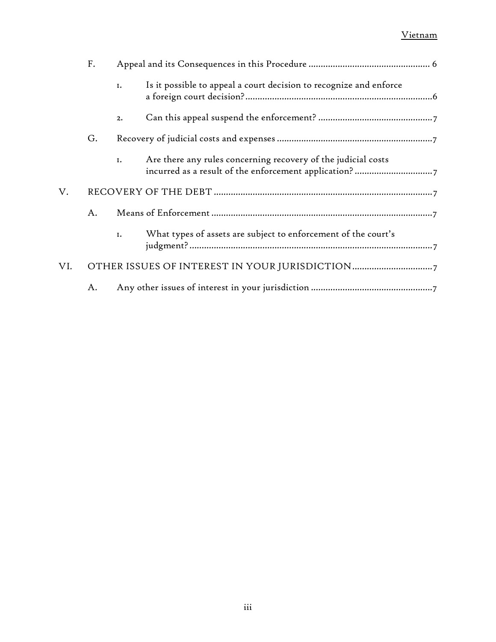|     | F. |    |                                                                    |
|-----|----|----|--------------------------------------------------------------------|
|     |    | I. | Is it possible to appeal a court decision to recognize and enforce |
|     |    | 2. |                                                                    |
|     | G. |    |                                                                    |
|     |    | I. | Are there any rules concerning recovery of the judicial costs      |
| V.  |    |    |                                                                    |
|     | A. |    |                                                                    |
|     |    | I. | What types of assets are subject to enforcement of the court's     |
| VI. |    |    |                                                                    |
|     | А. |    |                                                                    |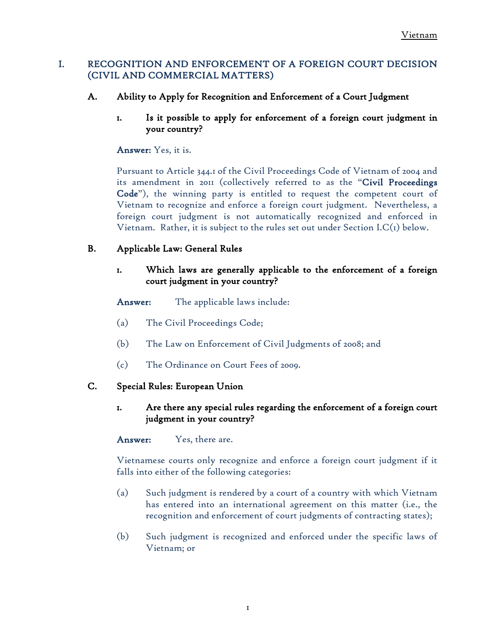# <span id="page-4-0"></span>I. RECOGNITION AND ENFORCEMENT OF A FOREIGN COURT DECISION (CIVIL AND COMMERCIAL MATTERS)

- <span id="page-4-2"></span><span id="page-4-1"></span>A. Ability to Apply for Recognition and Enforcement of a Court Judgment
	- 1. Is it possible to apply for enforcement of a foreign court judgment in your country?

Answer: Yes, it is.

Pursuant to Article 344.1 of the Civil Proceedings Code of Vietnam of 2004 and its amendment in 2011 (collectively referred to as the "Civil Proceedings Code"), the winning party is entitled to request the competent court of Vietnam to recognize and enforce a foreign court judgment. Nevertheless, a foreign court judgment is not automatically recognized and enforced in Vietnam. Rather, it is subject to the rules set out under Section I.C(1) below.

# <span id="page-4-4"></span><span id="page-4-3"></span>B. Applicable Law: General Rules

# 1. Which laws are generally applicable to the enforcement of a foreign court judgment in your country?

### Answer: The applicable laws include:

- (a) The Civil Proceedings Code;
- (b) The Law on Enforcement of Civil Judgments of 2008; and
- (c) The Ordinance on Court Fees of 2009.

### <span id="page-4-6"></span><span id="page-4-5"></span>C. Special Rules: European Union

# 1. Are there any special rules regarding the enforcement of a foreign court judgment in your country?

Answer: Yes, there are.

Vietnamese courts only recognize and enforce a foreign court judgment if it falls into either of the following categories:

- (a) Such judgment is rendered by a court of a country with which Vietnam has entered into an international agreement on this matter (i.e., the recognition and enforcement of court judgments of contracting states);
- (b) Such judgment is recognized and enforced under the specific laws of Vietnam; or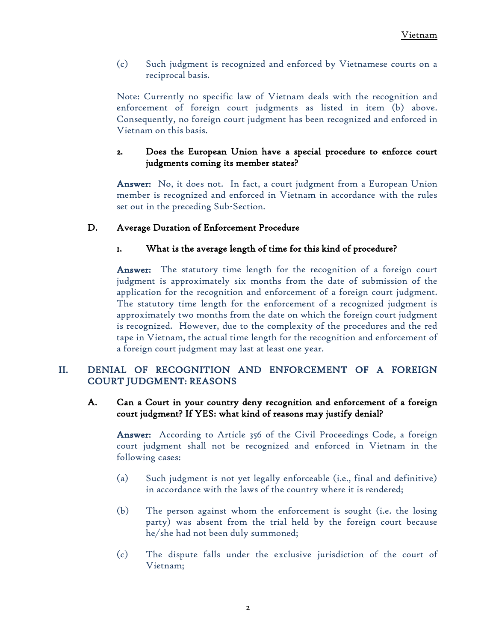(c) Such judgment is recognized and enforced by Vietnamese courts on a reciprocal basis.

Note: Currently no specific law of Vietnam deals with the recognition and enforcement of foreign court judgments as listed in item (b) above. Consequently, no foreign court judgment has been recognized and enforced in Vietnam on this basis.

# <span id="page-5-0"></span>2. Does the European Union have a special procedure to enforce court judgments coming its member states?

Answer: No, it does not. In fact, a court judgment from a European Union member is recognized and enforced in Vietnam in accordance with the rules set out in the preceding Sub-Section.

# <span id="page-5-2"></span><span id="page-5-1"></span>D. Average Duration of Enforcement Procedure

# 1. What is the average length of time for this kind of procedure?

Answer: The statutory time length for the recognition of a foreign court judgment is approximately six months from the date of submission of the application for the recognition and enforcement of a foreign court judgment. The statutory time length for the enforcement of a recognized judgment is approximately two months from the date on which the foreign court judgment is recognized. However, due to the complexity of the procedures and the red tape in Vietnam, the actual time length for the recognition and enforcement of a foreign court judgment may last at least one year.

# <span id="page-5-3"></span>II. DENIAL OF RECOGNITION AND ENFORCEMENT OF A FOREIGN COURT JUDGMENT: REASONS

### <span id="page-5-4"></span>A. Can a Court in your country deny recognition and enforcement of a foreign court judgment? If YES: what kind of reasons may justify denial?

Answer: According to Article 356 of the Civil Proceedings Code, a foreign court judgment shall not be recognized and enforced in Vietnam in the following cases:

- (a) Such judgment is not yet legally enforceable (i.e., final and definitive) in accordance with the laws of the country where it is rendered;
- (b) The person against whom the enforcement is sought (i.e. the losing party) was absent from the trial held by the foreign court because he/she had not been duly summoned;
- (c) The dispute falls under the exclusive jurisdiction of the court of Vietnam;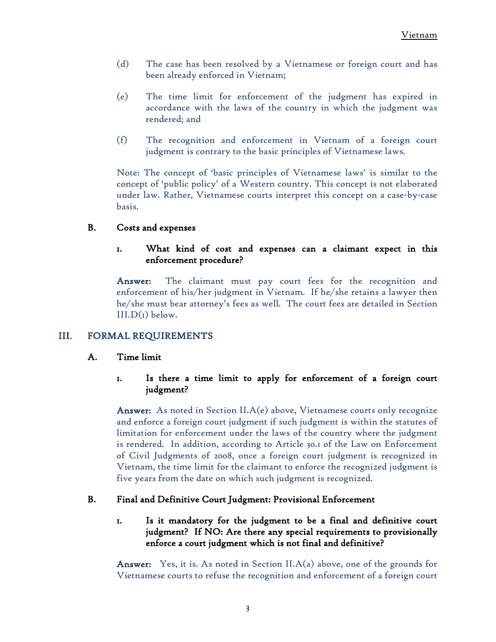- (d) The case has been resolved by a Vietnamese or foreign court and has been already enforced in Vietnam;
- (e) The time limit for enforcement of the judgment has expired in accordance with the laws of the country in which the judgment was rendered; and
- (f) The recognition and enforcement in Vietnam of a foreign court judgment is contrary to the basic principles of Vietnamese laws.

Note: The concept of 'basic principles of Vietnamese laws' is similar to the concept of 'public policy' of a Western country. This concept is not elaborated under law. Rather, Vietnamese courts interpret this concept on a case-by-case basis.

# <span id="page-6-1"></span><span id="page-6-0"></span>B. Costs and expenses

# 1. What kind of cost and expenses can a claimant expect in this enforcement procedure?

Answer: The claimant must pay court fees for the recognition and enforcement of his/her judgment in Vietnam. If he/she retains a lawyer then he/she must bear attorney's fees as well. The court fees are detailed in Section  $III.D(I)$  below.

# <span id="page-6-3"></span><span id="page-6-2"></span>III. FORMAL REQUIREMENTS

### <span id="page-6-4"></span>A. Time limit

# 1. Is there a time limit to apply for enforcement of a foreign court judgment?

**Answer:** As noted in Section  $II.A(e)$  above, Vietnamese courts only recognize and enforce a foreign court judgment if such judgment is within the statutes of limitation for enforcement under the laws of the country where the judgment is rendered. In addition, according to Article 30.1 of the Law on Enforcement of Civil Judgments of 2008, once a foreign court judgment is recognized in Vietnam, the time limit for the claimant to enforce the recognized judgment is five years from the date on which such judgment is recognized.

### <span id="page-6-6"></span><span id="page-6-5"></span>B. Final and Definitive Court Judgment: Provisional Enforcement

# 1. Is it mandatory for the judgment to be a final and definitive court judgment? If NO: Are there any special requirements to provisionally enforce a court judgment which is not final and definitive?

Answer: Yes, it is. As noted in Section II.A(a) above, one of the grounds for Vietnamese courts to refuse the recognition and enforcement of a foreign court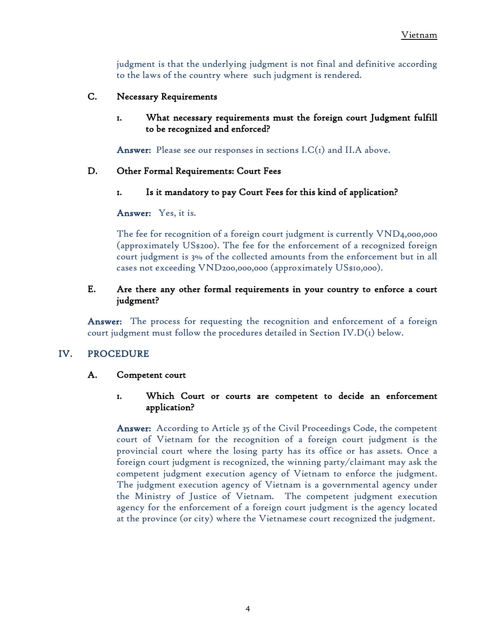judgment is that the underlying judgment is not final and definitive according to the laws of the country where such judgment is rendered.

### <span id="page-7-1"></span><span id="page-7-0"></span>C. Necessary Requirements

1. What necessary requirements must the foreign court Judgment fulfill to be recognized and enforced?

**Answer:** Please see our responses in sections  $LC(I)$  and  $II.A$  above.

### <span id="page-7-3"></span><span id="page-7-2"></span>D. Other Formal Requirements: Court Fees

1. Is it mandatory to pay Court Fees for this kind of application?

Answer: Yes, it is.

The fee for recognition of a foreign court judgment is currently VND4,000,000 (approximately US\$200). The fee for the enforcement of a recognized foreign court judgment is 3% of the collected amounts from the enforcement but in all cases not exceeding VND200,000,000 (approximately US\$10,000).

### <span id="page-7-4"></span>E. Are there any other formal requirements in your country to enforce a court judgment?

Answer: The process for requesting the recognition and enforcement of a foreign court judgment must follow the procedures detailed in Section IV. $D(r)$  below.

### <span id="page-7-6"></span><span id="page-7-5"></span>IV. PROCEDURE

#### <span id="page-7-7"></span>A. Competent court

### 1. Which Court or courts are competent to decide an enforcement application?

Answer: According to Article 35 of the Civil Proceedings Code, the competent court of Vietnam for the recognition of a foreign court judgment is the provincial court where the losing party has its office or has assets. Once a foreign court judgment is recognized, the winning party/claimant may ask the competent judgment execution agency of Vietnam to enforce the judgment. The judgment execution agency of Vietnam is a governmental agency under the Ministry of Justice of Vietnam. The competent judgment execution agency for the enforcement of a foreign court judgment is the agency located at the province (or city) where the Vietnamese court recognized the judgment.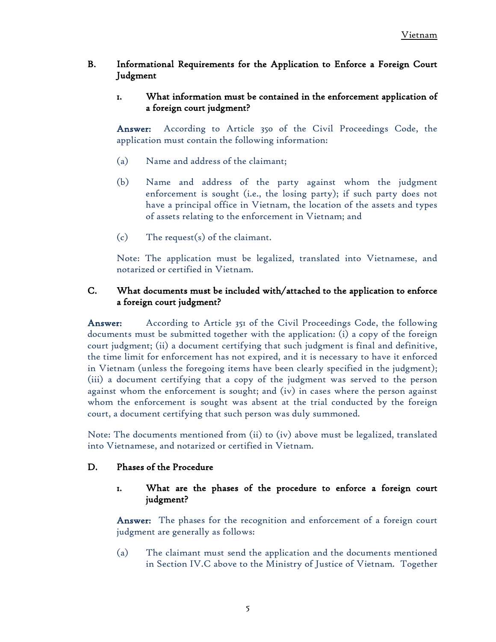# <span id="page-8-1"></span><span id="page-8-0"></span>B. Informational Requirements for the Application to Enforce a Foreign Court Judgment

# 1. What information must be contained in the enforcement application of a foreign court judgment?

Answer: According to Article 350 of the Civil Proceedings Code, the application must contain the following information:

- (a) Name and address of the claimant;
- (b) Name and address of the party against whom the judgment enforcement is sought (i.e., the losing party); if such party does not have a principal office in Vietnam, the location of the assets and types of assets relating to the enforcement in Vietnam; and
- (c) The request(s) of the claimant.

Note: The application must be legalized, translated into Vietnamese, and notarized or certified in Vietnam.

# <span id="page-8-2"></span>C. What documents must be included with/attached to the application to enforce a foreign court judgment?

Answer: According to Article 351 of the Civil Proceedings Code, the following documents must be submitted together with the application: (i) a copy of the foreign court judgment; (ii) a document certifying that such judgment is final and definitive, the time limit for enforcement has not expired, and it is necessary to have it enforced in Vietnam (unless the foregoing items have been clearly specified in the judgment); (iii) a document certifying that a copy of the judgment was served to the person against whom the enforcement is sought; and (iv) in cases where the person against whom the enforcement is sought was absent at the trial conducted by the foreign court, a document certifying that such person was duly summoned.

Note: The documents mentioned from (ii) to (iv) above must be legalized, translated into Vietnamese, and notarized or certified in Vietnam.

### <span id="page-8-4"></span><span id="page-8-3"></span>D. Phases of the Procedure

# 1. What are the phases of the procedure to enforce a foreign court judgment?

Answer: The phases for the recognition and enforcement of a foreign court judgment are generally as follows:

(a) The claimant must send the application and the documents mentioned in Section IV.C above to the Ministry of Justice of Vietnam. Together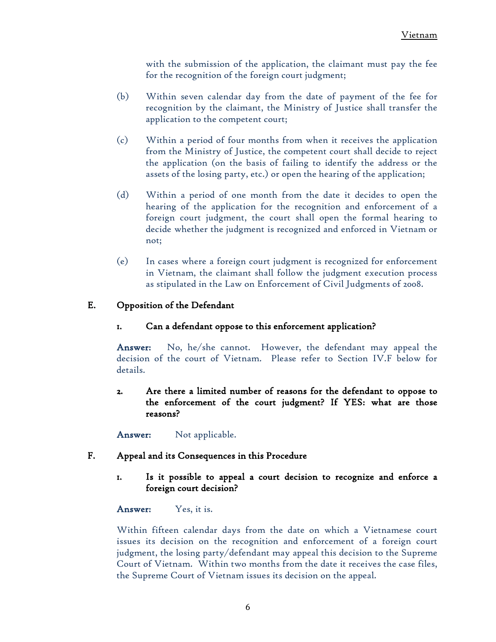with the submission of the application, the claimant must pay the fee for the recognition of the foreign court judgment;

- (b) Within seven calendar day from the date of payment of the fee for recognition by the claimant, the Ministry of Justice shall transfer the application to the competent court;
- (c) Within a period of four months from when it receives the application from the Ministry of Justice, the competent court shall decide to reject the application (on the basis of failing to identify the address or the assets of the losing party, etc.) or open the hearing of the application;
- (d) Within a period of one month from the date it decides to open the hearing of the application for the recognition and enforcement of a foreign court judgment, the court shall open the formal hearing to decide whether the judgment is recognized and enforced in Vietnam or not;
- (e) In cases where a foreign court judgment is recognized for enforcement in Vietnam, the claimant shall follow the judgment execution process as stipulated in the Law on Enforcement of Civil Judgments of 2008.

# <span id="page-9-1"></span><span id="page-9-0"></span>E. Opposition of the Defendant

1. Can a defendant oppose to this enforcement application?

Answer: No, he/she cannot. However, the defendant may appeal the decision of the court of Vietnam. Please refer to Section IV.F below for details.

<span id="page-9-2"></span>2. Are there a limited number of reasons for the defendant to oppose to the enforcement of the court judgment? If YES: what are those reasons?

Answer: Not applicable.

### <span id="page-9-4"></span><span id="page-9-3"></span>F. Appeal and its Consequences in this Procedure

1. Is it possible to appeal a court decision to recognize and enforce a foreign court decision?

Answer: Yes, it is.

Within fifteen calendar days from the date on which a Vietnamese court issues its decision on the recognition and enforcement of a foreign court judgment, the losing party/defendant may appeal this decision to the Supreme Court of Vietnam. Within two months from the date it receives the case files, the Supreme Court of Vietnam issues its decision on the appeal.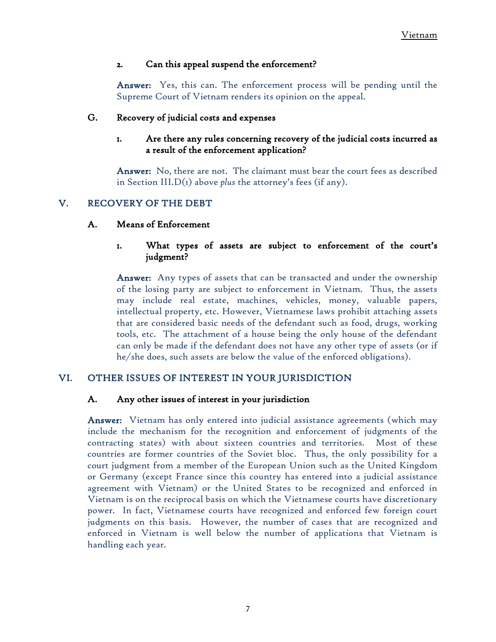### <span id="page-10-0"></span>2. Can this appeal suspend the enforcement?

Answer: Yes, this can. The enforcement process will be pending until the Supreme Court of Vietnam renders its opinion on the appeal.

### <span id="page-10-2"></span><span id="page-10-1"></span>G. Recovery of judicial costs and expenses

# 1. Are there any rules concerning recovery of the judicial costs incurred as a result of the enforcement application?

Answer: No, there are not. The claimant must bear the court fees as described in Section III.D(1) above *plus* the attorney's fees (if any).

# <span id="page-10-4"></span><span id="page-10-3"></span>V. RECOVERY OF THE DEBT

### <span id="page-10-5"></span>A. Means of Enforcement

# 1. What types of assets are subject to enforcement of the court's judgment?

Answer: Any types of assets that can be transacted and under the ownership of the losing party are subject to enforcement in Vietnam. Thus, the assets may include real estate, machines, vehicles, money, valuable papers, intellectual property, etc. However, Vietnamese laws prohibit attaching assets that are considered basic needs of the defendant such as food, drugs, working tools, etc. The attachment of a house being the only house of the defendant can only be made if the defendant does not have any other type of assets (or if he/she does, such assets are below the value of the enforced obligations).

### <span id="page-10-7"></span><span id="page-10-6"></span>VI. OTHER ISSUES OF INTEREST IN YOUR JURISDICTION

### A. Any other issues of interest in your jurisdiction

Answer: Vietnam has only entered into judicial assistance agreements (which may include the mechanism for the recognition and enforcement of judgments of the contracting states) with about sixteen countries and territories. Most of these countries are former countries of the Soviet bloc. Thus, the only possibility for a court judgment from a member of the European Union such as the United Kingdom or Germany (except France since this country has entered into a judicial assistance agreement with Vietnam) or the United States to be recognized and enforced in Vietnam is on the reciprocal basis on which the Vietnamese courts have discretionary power. In fact, Vietnamese courts have recognized and enforced few foreign court judgments on this basis. However, the number of cases that are recognized and enforced in Vietnam is well below the number of applications that Vietnam is handling each year.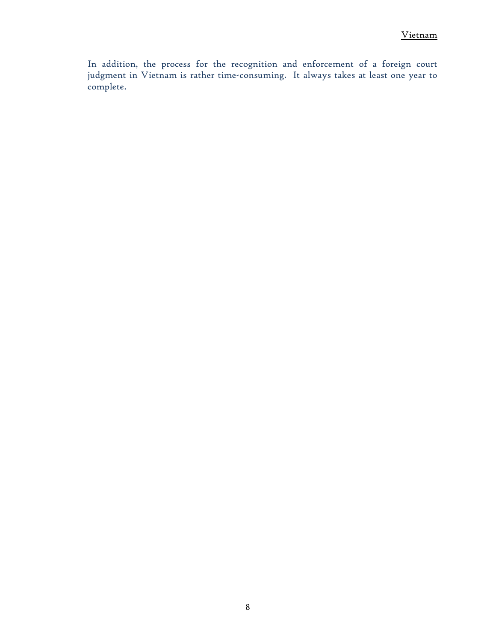In addition, the process for the recognition and enforcement of a foreign court judgment in Vietnam is rather time-consuming. It always takes at least one year to complete.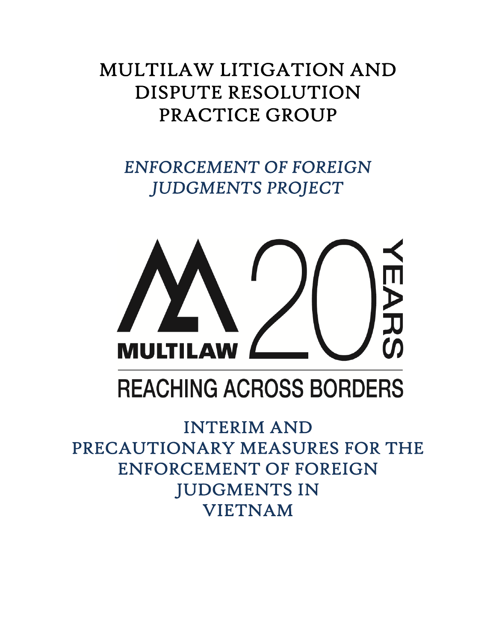# MULTILAW LITIGATION AND DISPUTE RESOLUTION PRACTICE GROUP

*ENFORCEMENT OF FOREIGN JUDGMENTS PROJECT* 



# **REACHING ACROSS BORDERS**

INTERIM AND PRECAUTIONARY MEASURES FOR THE ENFORCEMENT OF FOREIGN JUDGMENTS IN VIETNAM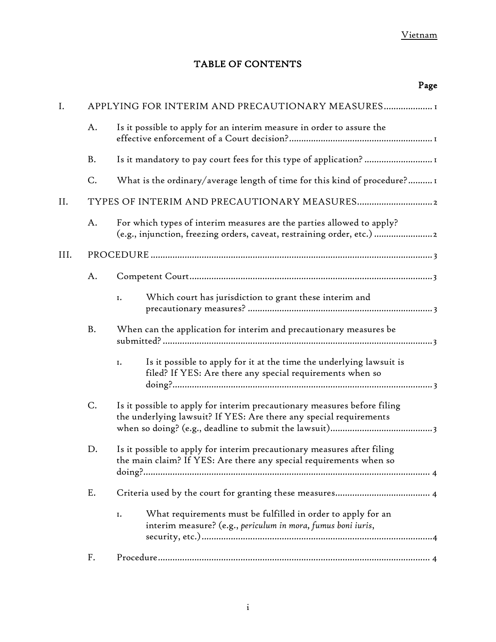# TABLE OF CONTENTS

|      |                                                   | Page                                                                                                                                           |  |  |
|------|---------------------------------------------------|------------------------------------------------------------------------------------------------------------------------------------------------|--|--|
| I.   | APPLYING FOR INTERIM AND PRECAUTIONARY MEASURES I |                                                                                                                                                |  |  |
|      | A.                                                | Is it possible to apply for an interim measure in order to assure the                                                                          |  |  |
|      | B.                                                | Is it mandatory to pay court fees for this type of application?                                                                                |  |  |
|      | C.                                                | What is the ordinary/average length of time for this kind of procedure?1                                                                       |  |  |
| Н.   |                                                   |                                                                                                                                                |  |  |
|      | A.                                                | For which types of interim measures are the parties allowed to apply?<br>(e.g., injunction, freezing orders, caveat, restraining order, etc.)  |  |  |
| III. |                                                   |                                                                                                                                                |  |  |
|      | A.                                                |                                                                                                                                                |  |  |
|      |                                                   | Which court has jurisdiction to grant these interim and<br>I.                                                                                  |  |  |
|      | B.                                                | When can the application for interim and precautionary measures be                                                                             |  |  |
|      |                                                   | Is it possible to apply for it at the time the underlying lawsuit is<br>I.<br>filed? If YES: Are there any special requirements when so        |  |  |
|      | C.                                                | Is it possible to apply for interim precautionary measures before filing<br>the underlying lawsuit? If YES: Are there any special requirements |  |  |
|      | D.                                                | Is it possible to apply for interim precautionary measures after filing<br>the main claim? If YES: Are there any special requirements when so  |  |  |
|      | Ε.                                                |                                                                                                                                                |  |  |
|      |                                                   | What requirements must be fulfilled in order to apply for an<br>I.<br>interim measure? (e.g., periculum in mora, fumus boni iuris,             |  |  |
|      | F.                                                |                                                                                                                                                |  |  |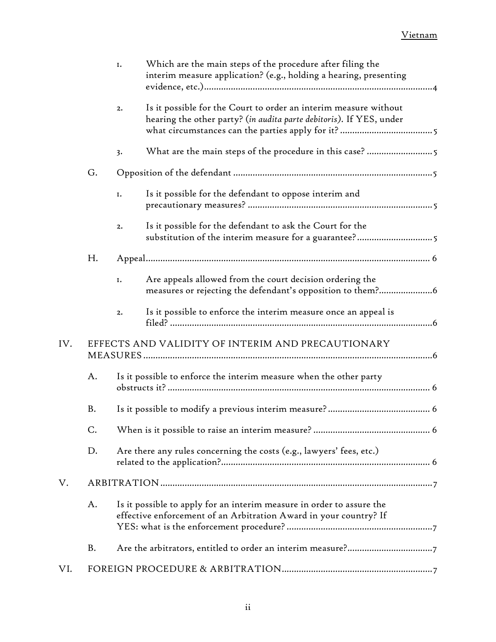|     |    | I. | Which are the main steps of the procedure after filing the<br>interim measure application? (e.g., holding a hearing, presenting            |
|-----|----|----|--------------------------------------------------------------------------------------------------------------------------------------------|
|     |    | 2. | Is it possible for the Court to order an interim measure without<br>hearing the other party? (in audita parte debitoris). If YES, under    |
|     |    | 3. |                                                                                                                                            |
|     | G. |    |                                                                                                                                            |
|     |    | I. | Is it possible for the defendant to oppose interim and                                                                                     |
|     |    | 2. | Is it possible for the defendant to ask the Court for the<br>substitution of the interim measure for a guarantee?5                         |
|     | Н. |    |                                                                                                                                            |
|     |    | I. | Are appeals allowed from the court decision ordering the                                                                                   |
|     |    | 2. | Is it possible to enforce the interim measure once an appeal is                                                                            |
| IV. |    |    | EFFECTS AND VALIDITY OF INTERIM AND PRECAUTIONARY                                                                                          |
|     | A. |    | Is it possible to enforce the interim measure when the other party                                                                         |
|     | B. |    |                                                                                                                                            |
|     | C. |    |                                                                                                                                            |
|     | D. |    | Are there any rules concerning the costs (e.g., lawyers' fees, etc.)                                                                       |
| V.  |    |    |                                                                                                                                            |
|     | A. |    | Is it possible to apply for an interim measure in order to assure the<br>effective enforcement of an Arbitration Award in your country? If |
|     | B. |    |                                                                                                                                            |
| VI. |    |    |                                                                                                                                            |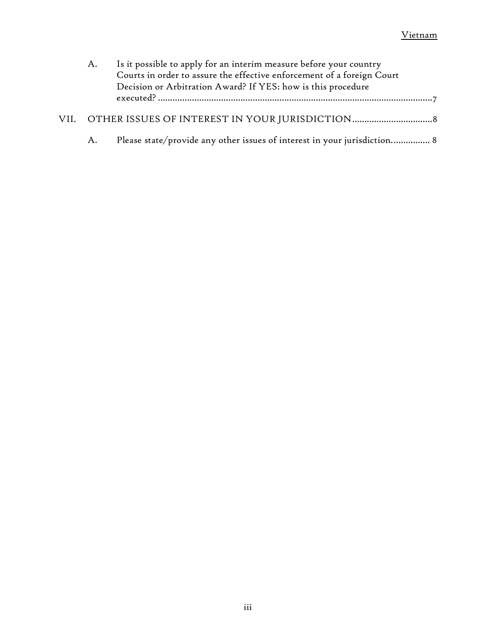| A. | Is it possible to apply for an interim measure before your country<br>Courts in order to assure the effective enforcement of a foreign Court<br>Decision or Arbitration Award? If YES: how is this procedure |  |
|----|--------------------------------------------------------------------------------------------------------------------------------------------------------------------------------------------------------------|--|
|    |                                                                                                                                                                                                              |  |
| A. | Please state/provide any other issues of interest in your jurisdiction 8                                                                                                                                     |  |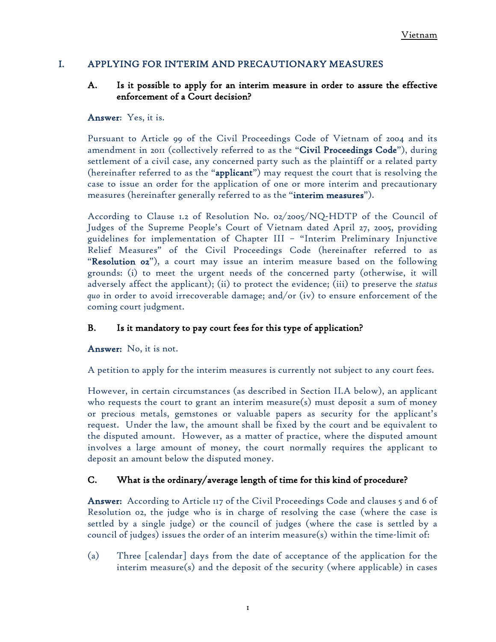### <span id="page-16-1"></span><span id="page-16-0"></span>I. APPLYING FOR INTERIM AND PRECAUTIONARY MEASURES

# A. Is it possible to apply for an interim measure in order to assure the effective enforcement of a Court decision?

### Answer: Yes, it is.

Pursuant to Article 99 of the Civil Proceedings Code of Vietnam of 2004 and its amendment in 2011 (collectively referred to as the "Civil Proceedings Code"), during settlement of a civil case, any concerned party such as the plaintiff or a related party (hereinafter referred to as the "**applicant**") may request the court that is resolving the case to issue an order for the application of one or more interim and precautionary measures (hereinafter generally referred to as the "interim measures").

According to Clause 1.2 of Resolution No. 02/2005/NQ-HDTP of the Council of Judges of the Supreme People's Court of Vietnam dated April 27, 2005, providing guidelines for implementation of Chapter III – "Interim Preliminary Injunctive Relief Measures" of the Civil Proceedings Code (hereinafter referred to as "Resolution 02"), a court may issue an interim measure based on the following grounds: (i) to meet the urgent needs of the concerned party (otherwise, it will adversely affect the applicant); (ii) to protect the evidence; (iii) to preserve the *status quo* in order to avoid irrecoverable damage; and/or (iv) to ensure enforcement of the coming court judgment.

# <span id="page-16-2"></span>B. Is it mandatory to pay court fees for this type of application?

Answer: No, it is not.

A petition to apply for the interim measures is currently not subject to any court fees.

However, in certain circumstances (as described in Section II.A below), an applicant who requests the court to grant an interim measure(s) must deposit a sum of money or precious metals, gemstones or valuable papers as security for the applicant's request. Under the law, the amount shall be fixed by the court and be equivalent to the disputed amount. However, as a matter of practice, where the disputed amount involves a large amount of money, the court normally requires the applicant to deposit an amount below the disputed money.

### <span id="page-16-3"></span>C. What is the ordinary/average length of time for this kind of procedure?

Answer: According to Article 117 of the Civil Proceedings Code and clauses 5 and 6 of Resolution 02, the judge who is in charge of resolving the case (where the case is settled by a single judge) or the council of judges (where the case is settled by a council of judges) issues the order of an interim measure(s) within the time-limit of:

(a) Three [calendar] days from the date of acceptance of the application for the interim measure(s) and the deposit of the security (where applicable) in cases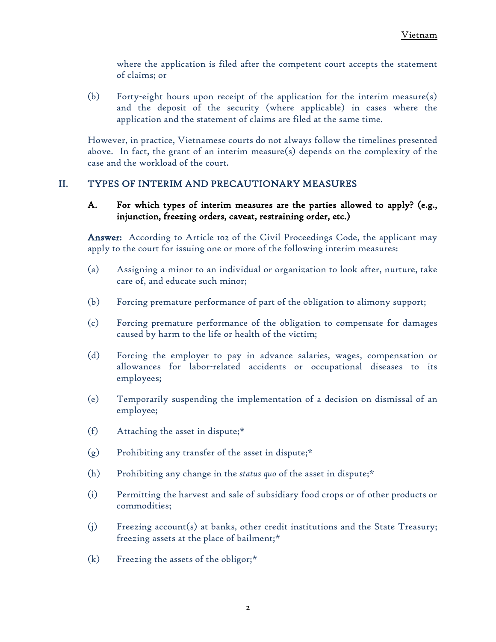where the application is filed after the competent court accepts the statement of claims; or

(b) Forty-eight hours upon receipt of the application for the interim measure(s) and the deposit of the security (where applicable) in cases where the application and the statement of claims are filed at the same time.

However, in practice, Vietnamese courts do not always follow the timelines presented above. In fact, the grant of an interim measure(s) depends on the complexity of the case and the workload of the court.

# <span id="page-17-1"></span><span id="page-17-0"></span>II. TYPES OF INTERIM AND PRECAUTIONARY MEASURES

A. For which types of interim measures are the parties allowed to apply? (e.g., injunction, freezing orders, caveat, restraining order, etc.)

Answer: According to Article 102 of the Civil Proceedings Code, the applicant may apply to the court for issuing one or more of the following interim measures:

- (a) Assigning a minor to an individual or organization to look after, nurture, take care of, and educate such minor;
- (b) Forcing premature performance of part of the obligation to alimony support;
- (c) Forcing premature performance of the obligation to compensate for damages caused by harm to the life or health of the victim;
- (d) Forcing the employer to pay in advance salaries, wages, compensation or allowances for labor-related accidents or occupational diseases to its employees;
- (e) Temporarily suspending the implementation of a decision on dismissal of an employee;
- (f) Attaching the asset in dispute;\*
- $(g)$  Prohibiting any transfer of the asset in dispute;\*
- (h) Prohibiting any change in the *status quo* of the asset in dispute;\*
- (i) Permitting the harvest and sale of subsidiary food crops or of other products or commodities;
- (j) Freezing account(s) at banks, other credit institutions and the State Treasury; freezing assets at the place of bailment;\*
- $(k)$  Freezing the assets of the obligor;\*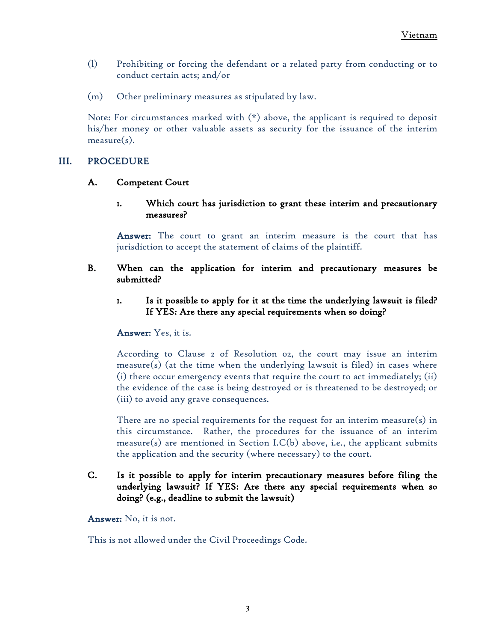- (l) Prohibiting or forcing the defendant or a related party from conducting or to conduct certain acts; and/or
- (m) Other preliminary measures as stipulated by law.

Note: For circumstances marked with  $(*)$  above, the applicant is required to deposit his/her money or other valuable assets as security for the issuance of the interim measure(s).

# <span id="page-18-1"></span><span id="page-18-0"></span>III. PROCEDURE

### <span id="page-18-2"></span>A. Competent Court

1. Which court has jurisdiction to grant these interim and precautionary measures?

Answer: The court to grant an interim measure is the court that has jurisdiction to accept the statement of claims of the plaintiff.

- <span id="page-18-4"></span><span id="page-18-3"></span>B. When can the application for interim and precautionary measures be submitted?
	- 1. Is it possible to apply for it at the time the underlying lawsuit is filed? If YES: Are there any special requirements when so doing?

### Answer: Yes, it is.

According to Clause 2 of Resolution 02, the court may issue an interim measure(s) (at the time when the underlying lawsuit is filed) in cases where (i) there occur emergency events that require the court to act immediately; (ii) the evidence of the case is being destroyed or is threatened to be destroyed; or (iii) to avoid any grave consequences.

There are no special requirements for the request for an interim measure(s) in this circumstance. Rather, the procedures for the issuance of an interim measure(s) are mentioned in Section I.C(b) above, i.e., the applicant submits the application and the security (where necessary) to the court.

# <span id="page-18-5"></span>C. Is it possible to apply for interim precautionary measures before filing the underlying lawsuit? If YES: Are there any special requirements when so doing? (e.g., deadline to submit the lawsuit)

Answer: No, it is not.

This is not allowed under the Civil Proceedings Code.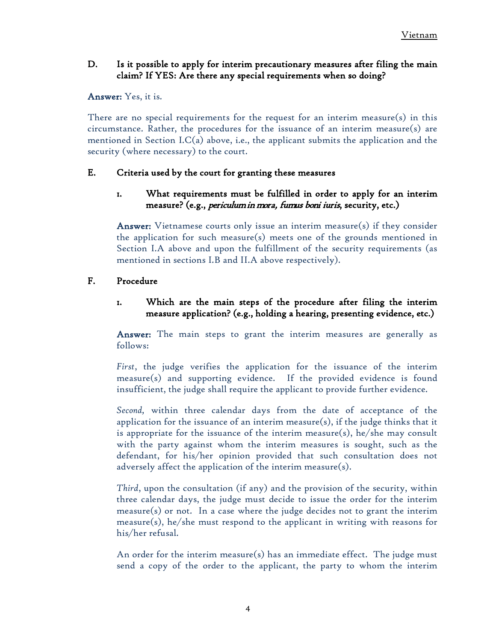# <span id="page-19-0"></span>D. Is it possible to apply for interim precautionary measures after filing the main claim? If YES: Are there any special requirements when so doing?

### Answer: Yes, it is.

There are no special requirements for the request for an interim measure(s) in this circumstance. Rather, the procedures for the issuance of an interim measure(s) are mentioned in Section I.C(a) above, i.e., the applicant submits the application and the security (where necessary) to the court.

### <span id="page-19-2"></span><span id="page-19-1"></span>E. Criteria used by the court for granting these measures

# 1. What requirements must be fulfilled in order to apply for an interim measure? (e.g., periculum in mora, fumus boni iuris, security, etc.)

Answer: Vietnamese courts only issue an interim measure(s) if they consider the application for such measure(s) meets one of the grounds mentioned in Section I.A above and upon the fulfillment of the security requirements (as mentioned in sections I.B and II.A above respectively).

### <span id="page-19-4"></span><span id="page-19-3"></span>F. Procedure

# 1. Which are the main steps of the procedure after filing the interim measure application? (e.g., holding a hearing, presenting evidence, etc.)

Answer: The main steps to grant the interim measures are generally as follows:

*First*, the judge verifies the application for the issuance of the interim measure(s) and supporting evidence. If the provided evidence is found insufficient, the judge shall require the applicant to provide further evidence.

*Second,* within three calendar days from the date of acceptance of the application for the issuance of an interim measure(s), if the judge thinks that it is appropriate for the issuance of the interim measure(s), he/she may consult with the party against whom the interim measures is sought, such as the defendant, for his/her opinion provided that such consultation does not adversely affect the application of the interim measure(s).

*Third*, upon the consultation (if any) and the provision of the security, within three calendar days, the judge must decide to issue the order for the interim measure(s) or not. In a case where the judge decides not to grant the interim measure(s), he/she must respond to the applicant in writing with reasons for his/her refusal.

An order for the interim measure(s) has an immediate effect. The judge must send a copy of the order to the applicant, the party to whom the interim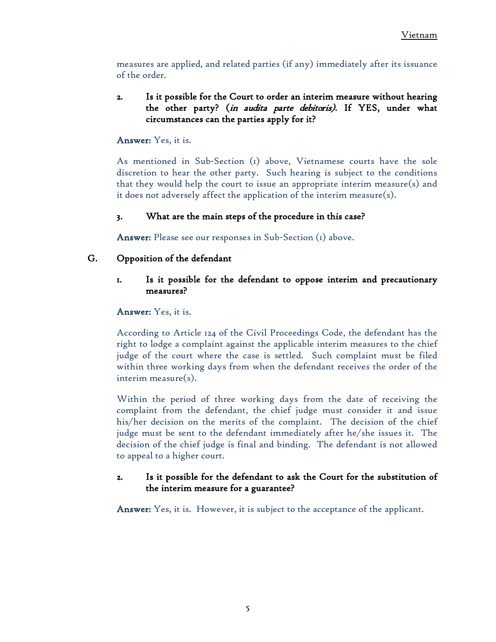measures are applied, and related parties (if any) immediately after its issuance of the order.

# <span id="page-20-0"></span>2. Is it possible for the Court to order an interim measure without hearing the other party? (in audita parte debitoris). If YES, under what circumstances can the parties apply for it?

# Answer: Yes, it is.

As mentioned in Sub-Section (1) above, Vietnamese courts have the sole discretion to hear the other party. Such hearing is subject to the conditions that they would help the court to issue an appropriate interim measure(s) and it does not adversely affect the application of the interim measure(s).

# 3. What are the main steps of the procedure in this case?

Answer: Please see our responses in Sub-Section (1) above.

# <span id="page-20-3"></span><span id="page-20-2"></span><span id="page-20-1"></span>G. Opposition of the defendant

# 1. Is it possible for the defendant to oppose interim and precautionary measures?

### Answer: Yes, it is.

According to Article 124 of the Civil Proceedings Code, the defendant has the right to lodge a complaint against the applicable interim measures to the chief judge of the court where the case is settled. Such complaint must be filed within three working days from when the defendant receives the order of the interim measure(s).

Within the period of three working days from the date of receiving the complaint from the defendant, the chief judge must consider it and issue his/her decision on the merits of the complaint. The decision of the chief judge must be sent to the defendant immediately after he/she issues it. The decision of the chief judge is final and binding. The defendant is not allowed to appeal to a higher court.

# <span id="page-20-4"></span>2. Is it possible for the defendant to ask the Court for the substitution of the interim measure for a guarantee?

Answer: Yes, it is. However, it is subject to the acceptance of the applicant.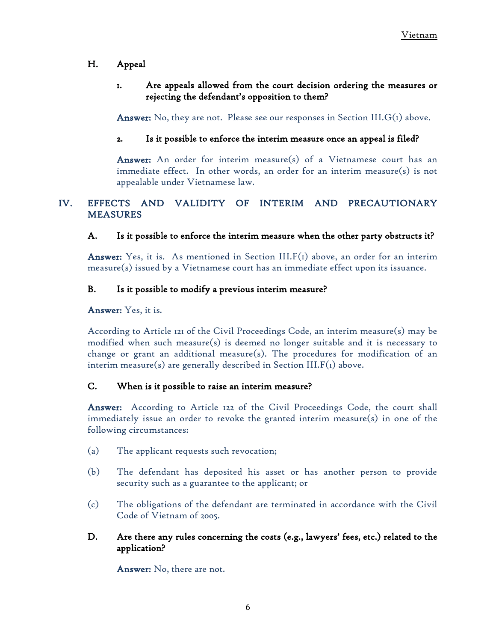# <span id="page-21-1"></span><span id="page-21-0"></span>H. Appeal

# 1. Are appeals allowed from the court decision ordering the measures or rejecting the defendant's opposition to them?

**Answer:** No, they are not. Please see our responses in Section III.  $G(t)$  above.

# <span id="page-21-2"></span>2. Is it possible to enforce the interim measure once an appeal is filed?

Answer: An order for interim measure(s) of a Vietnamese court has an immediate effect. In other words, an order for an interim measure(s) is not appealable under Vietnamese law.

# <span id="page-21-3"></span>IV. EFFECTS AND VALIDITY OF INTERIM AND PRECAUTIONARY MEASURES

# <span id="page-21-4"></span>A. Is it possible to enforce the interim measure when the other party obstructs it?

**Answer:** Yes, it is. As mentioned in Section  $III.F(1)$  above, an order for an interim measure(s) issued by a Vietnamese court has an immediate effect upon its issuance.

### <span id="page-21-5"></span>B. Is it possible to modify a previous interim measure?

Answer: Yes, it is.

According to Article 121 of the Civil Proceedings Code, an interim measure(s) may be modified when such measure(s) is deemed no longer suitable and it is necessary to change or grant an additional measure(s). The procedures for modification of an interim measure(s) are generally described in Section III. $F(t)$  above.

### <span id="page-21-6"></span>C. When is it possible to raise an interim measure?

Answer: According to Article 122 of the Civil Proceedings Code, the court shall immediately issue an order to revoke the granted interim measure(s) in one of the following circumstances:

- (a) The applicant requests such revocation;
- (b) The defendant has deposited his asset or has another person to provide security such as a guarantee to the applicant; or
- (c) The obligations of the defendant are terminated in accordance with the Civil Code of Vietnam of 2005.
- <span id="page-21-7"></span>D. Are there any rules concerning the costs (e.g., lawyers' fees, etc.) related to the application?

Answer: No, there are not.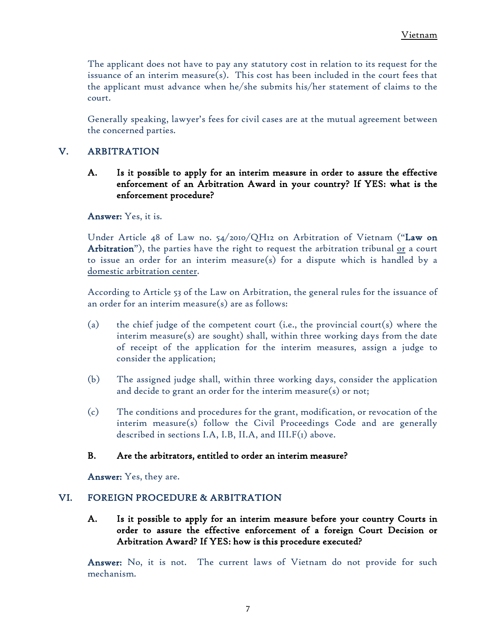The applicant does not have to pay any statutory cost in relation to its request for the issuance of an interim measure(s). This cost has been included in the court fees that the applicant must advance when he/she submits his/her statement of claims to the court.

Generally speaking, lawyer's fees for civil cases are at the mutual agreement between the concerned parties.

# <span id="page-22-1"></span><span id="page-22-0"></span>V. ARBITRATION

A. Is it possible to apply for an interim measure in order to assure the effective enforcement of an Arbitration Award in your country? If YES: what is the enforcement procedure?

Answer: Yes, it is.

Under Article 48 of Law no. 54/2010/QH12 on Arbitration of Vietnam ("Law on Arbitration"), the parties have the right to request the arbitration tribunal or a court to issue an order for an interim measure(s) for a dispute which is handled by a domestic arbitration center.

According to Article 53 of the Law on Arbitration, the general rules for the issuance of an order for an interim measure(s) are as follows:

- (a) the chief judge of the competent court (i.e., the provincial court(s) where the interim measure(s) are sought) shall, within three working days from the date of receipt of the application for the interim measures, assign a judge to consider the application;
- (b) The assigned judge shall, within three working days, consider the application and decide to grant an order for the interim measure(s) or not;
- (c) The conditions and procedures for the grant, modification, or revocation of the interim measure(s) follow the Civil Proceedings Code and are generally described in sections I.A, I.B, II.A, and  $III.F(i)$  above.

### <span id="page-22-2"></span>B. Are the arbitrators, entitled to order an interim measure?

Answer: Yes, they are.

### <span id="page-22-4"></span><span id="page-22-3"></span>VI. FOREIGN PROCEDURE & ARBITRATION

A. Is it possible to apply for an interim measure before your country Courts in order to assure the effective enforcement of a foreign Court Decision or Arbitration Award? If YES: how is this procedure executed?

Answer: No, it is not. The current laws of Vietnam do not provide for such mechanism.